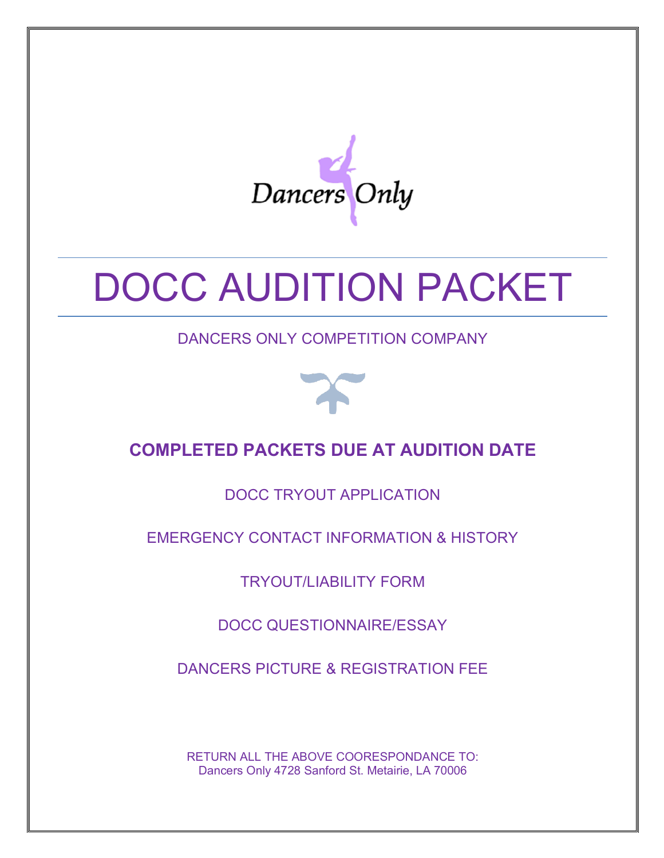

# DOCC AUDITION PACKET

DANCERS ONLY COMPETITION COMPANY



# **COMPLETED PACKETS DUE AT AUDITION DATE**

DOCC TRYOUT APPLICATION

EMERGENCY CONTACT INFORMATION & HISTORY

TRYOUT/LIABILITY FORM

DOCC QUESTIONNAIRE/ESSAY

DANCERS PICTURE & REGISTRATION FEE

RETURN ALL THE ABOVE COORESPONDANCE TO: Dancers Only 4728 Sanford St. Metairie, LA 70006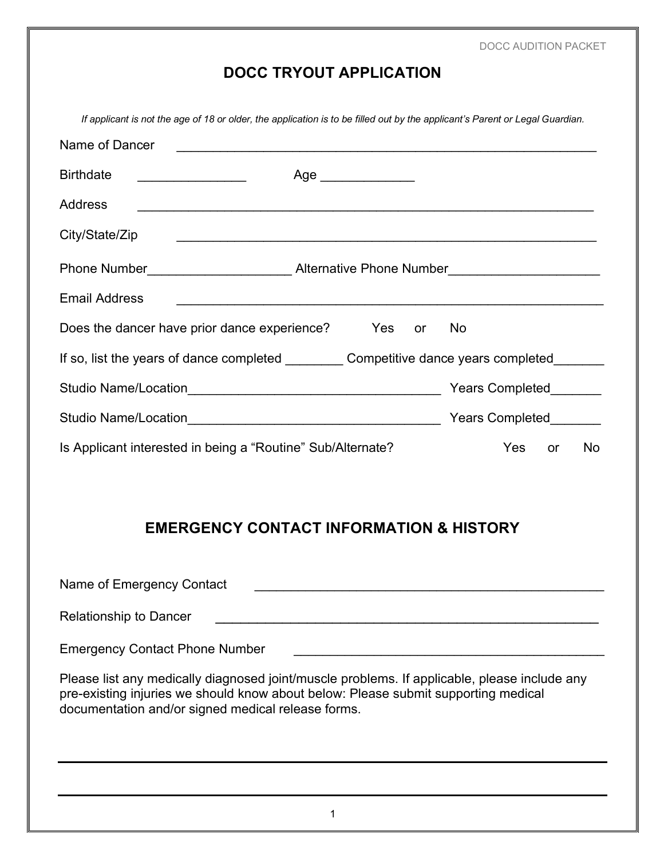DOCC AUDITION PACKET

## **DOCC TRYOUT APPLICATION**

*If applicant is not the age of 18 or older, the application is to be filled out by the applicant's Parent or Legal Guardian.*

| Name of Dancer                                                                   |                     |                        |  |  |
|----------------------------------------------------------------------------------|---------------------|------------------------|--|--|
| <b>Birthdate</b>                                                                 | Age _______________ |                        |  |  |
| <b>Address</b>                                                                   |                     |                        |  |  |
| City/State/Zip                                                                   |                     |                        |  |  |
| Phone Number_________________________Alternative Phone Number___________________ |                     |                        |  |  |
| <b>Email Address</b>                                                             |                     |                        |  |  |
| Does the dancer have prior dance experience? Yes or                              |                     | No.                    |  |  |
| If so, list the years of dance completed Competitive dance years completed       |                     |                        |  |  |
|                                                                                  |                     | Years Completed        |  |  |
|                                                                                  |                     | Years Completed        |  |  |
| Is Applicant interested in being a "Routine" Sub/Alternate?                      |                     | <b>No</b><br>Yes<br>or |  |  |

## **EMERGENCY CONTACT INFORMATION & HISTORY**

Name of Emergency Contact \_\_\_\_\_\_\_\_\_\_\_\_\_\_\_\_\_\_\_\_\_\_\_\_\_\_\_\_\_\_\_\_\_\_\_\_\_\_\_\_\_\_\_\_\_\_\_\_

Relationship to Dancer **Lationship to Dancer Lationary 2014** 

Emergency Contact Phone Number

Please list any medically diagnosed joint/muscle problems. If applicable, please include any pre-existing injuries we should know about below: Please submit supporting medical documentation and/or signed medical release forms.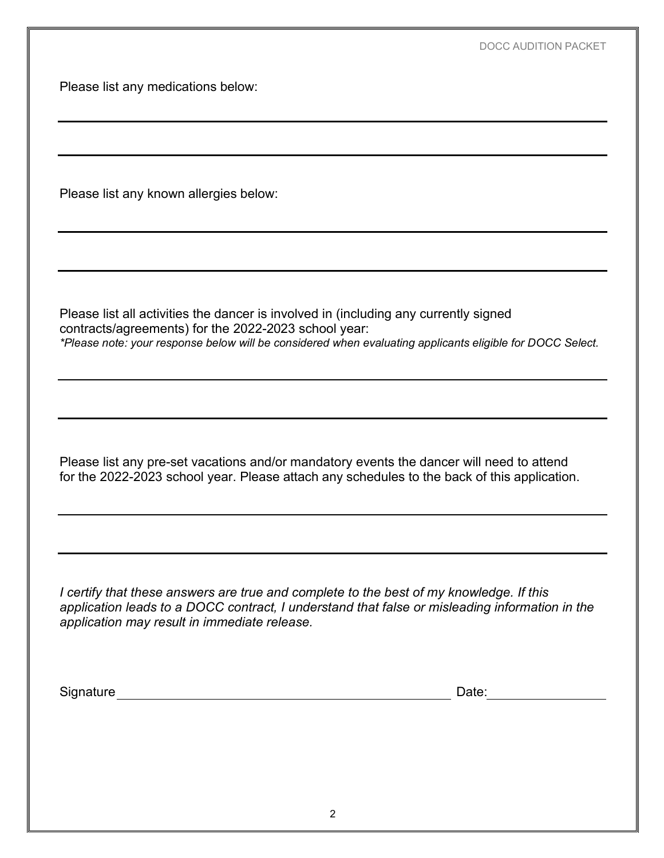Please list any medications below:

Please list any known allergies below:

Please list all activities the dancer is involved in (including any currently signed contracts/agreements) for the 2022-2023 school year: *\*Please note: your response below will be considered when evaluating applicants eligible for DOCC Select.*

Please list any pre-set vacations and/or mandatory events the dancer will need to attend for the 2022-2023 school year. Please attach any schedules to the back of this application.

*I certify that these answers are true and complete to the best of my knowledge. If this application leads to a DOCC contract, I understand that false or misleading information in the application may result in immediate release.* 

Signature Date: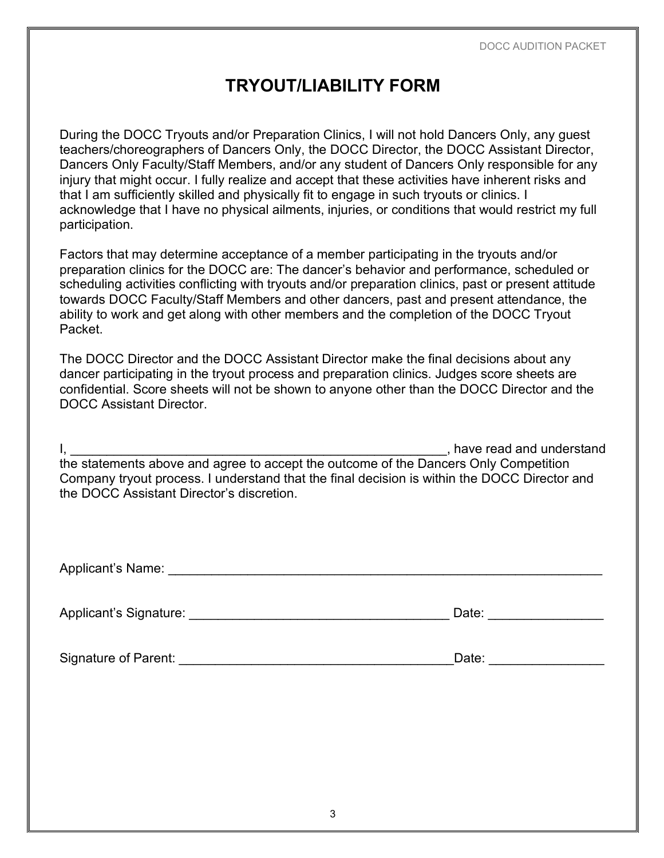# **TRYOUT/LIABILITY FORM**

During the DOCC Tryouts and/or Preparation Clinics, I will not hold Dancers Only, any guest teachers/choreographers of Dancers Only, the DOCC Director, the DOCC Assistant Director, Dancers Only Faculty/Staff Members, and/or any student of Dancers Only responsible for any injury that might occur. I fully realize and accept that these activities have inherent risks and that I am sufficiently skilled and physically fit to engage in such tryouts or clinics. I acknowledge that I have no physical ailments, injuries, or conditions that would restrict my full participation.

Factors that may determine acceptance of a member participating in the tryouts and/or preparation clinics for the DOCC are: The dancer's behavior and performance, scheduled or scheduling activities conflicting with tryouts and/or preparation clinics, past or present attitude towards DOCC Faculty/Staff Members and other dancers, past and present attendance, the ability to work and get along with other members and the completion of the DOCC Tryout Packet.

The DOCC Director and the DOCC Assistant Director make the final decisions about any dancer participating in the tryout process and preparation clinics. Judges score sheets are confidential. Score sheets will not be shown to anyone other than the DOCC Director and the DOCC Assistant Director.

I, the contraction of the contraction of the contraction of the contraction of the contraction of the contraction of the contraction of the contraction of the contraction of the contraction of the contraction of the contra the statements above and agree to accept the outcome of the Dancers Only Competition Company tryout process. I understand that the final decision is within the DOCC Director and the DOCC Assistant Director's discretion.

| Applicant's Name: |  |  |  |
|-------------------|--|--|--|
|                   |  |  |  |

Applicant's Signature: \_\_\_\_\_\_\_\_\_\_\_\_\_\_\_\_\_\_\_\_\_\_\_\_\_\_\_\_\_\_\_\_\_\_\_\_ Date: \_\_\_\_\_\_\_\_\_\_\_\_\_\_\_\_

Signature of Parent: \_\_\_\_\_\_\_\_\_\_\_\_\_\_\_\_\_\_\_\_\_\_\_\_\_\_\_\_\_\_\_\_\_\_\_\_\_\_Date: \_\_\_\_\_\_\_\_\_\_\_\_\_\_\_\_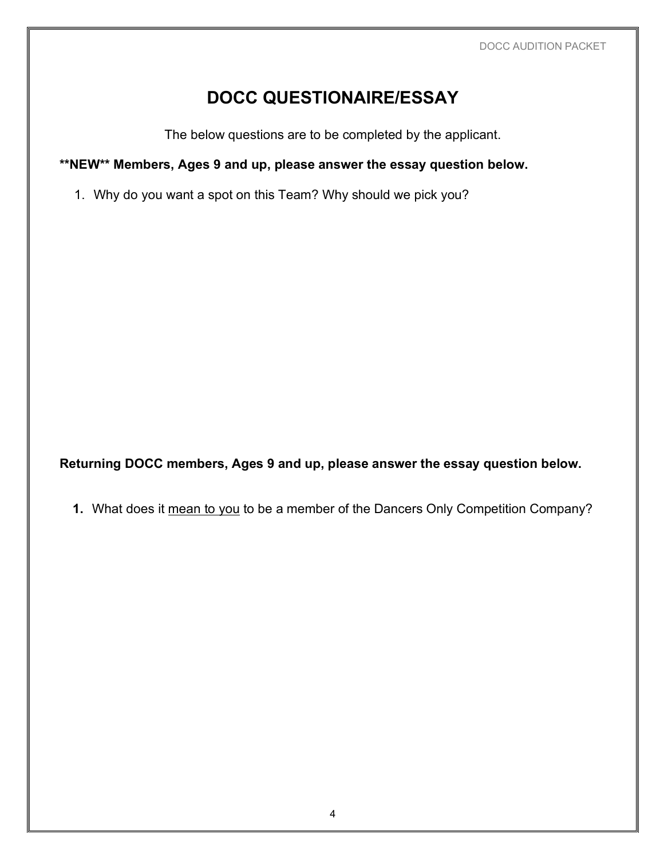# **DOCC QUESTIONAIRE/ESSAY**

The below questions are to be completed by the applicant.

#### **\*\*NEW\*\* Members, Ages 9 and up, please answer the essay question below.**

1. Why do you want a spot on this Team? Why should we pick you?

**Returning DOCC members, Ages 9 and up, please answer the essay question below.**

**1.** What does it mean to you to be a member of the Dancers Only Competition Company?